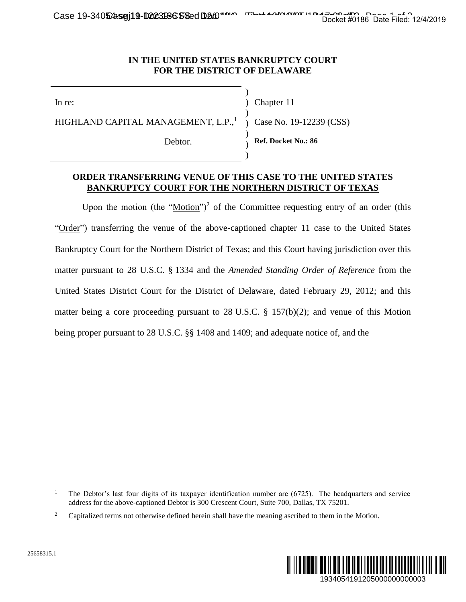Case 19-34052asej19-D223B6558ed D20<sup>1</sup> The Lace 11 Decket #0186 Date Filed: 12/4/2019

## **IN THE UNITED STATES BANKRUPTCY COURT FOR THE DISTRICT OF DELAWARE**

)

) ) )

In re:

) Chapter 11 )

HIGHLAND CAPITAL MANAGEMENT, L.P.,<sup>1</sup>

Debtor.

**Ref. Docket No.: 86**

) Case No. 19-12239 (CSS)

## **ORDER TRANSFERRING VENUE OF THIS CASE TO THE UNITED STATES BANKRUPTCY COURT FOR THE NORTHERN DISTRICT OF TEXAS**

Upon the motion (the " $Motion$ ")<sup>2</sup> of the Committee requesting entry of an order (this</u> "Order") transferring the venue of the above-captioned chapter 11 case to the United States Bankruptcy Court for the Northern District of Texas; and this Court having jurisdiction over this matter pursuant to 28 U.S.C. § 1334 and the *Amended Standing Order of Reference* from the United States District Court for the District of Delaware, dated February 29, 2012; and this matter being a core proceeding pursuant to 28 U.S.C. § 157(b)(2); and venue of this Motion being proper pursuant to 28 U.S.C. §§ 1408 and 1409; and adequate notice of, and the Docket #0186 Date Filed: 12/4/2019<br>
9 (CSS)<br>
9 (CSS)<br>
<br>
UNITED STATES<br>
cr OF TEXAS<br>
entry of an order (this<br>
suse to the United States<br>
ing jurisdiction over this<br> *r of Reference* from the<br>
uary 29, 2012; and this<br>
d ven



 $\overline{a}$ 

<sup>&</sup>lt;sup>1</sup> The Debtor's last four digits of its taxpayer identification number are (6725). The headquarters and service address for the above-captioned Debtor is 300 Crescent Court, Suite 700, Dallas, TX 75201.

<sup>&</sup>lt;sup>2</sup> Capitalized terms not otherwise defined herein shall have the meaning ascribed to them in the Motion.